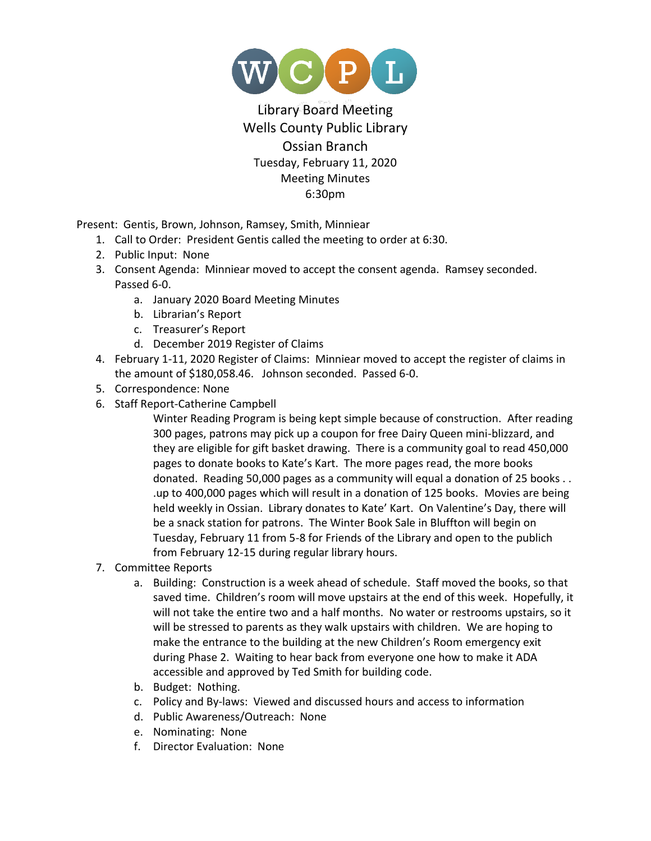

## Library Board Meeting Wells County Public Library Ossian Branch Tuesday, February 11, 2020 Meeting Minutes 6:30pm

Present: Gentis, Brown, Johnson, Ramsey, Smith, Minniear

- 1. Call to Order: President Gentis called the meeting to order at 6:30.
- 2. Public Input: None
- 3. Consent Agenda: Minniear moved to accept the consent agenda. Ramsey seconded. Passed 6-0.
	- a. January 2020 Board Meeting Minutes
	- b. Librarian's Report
	- c. Treasurer's Report
	- d. December 2019 Register of Claims
- 4. February 1-11, 2020 Register of Claims: Minniear moved to accept the register of claims in the amount of \$180,058.46. Johnson seconded. Passed 6-0.
- 5. Correspondence: None
- 6. Staff Report-Catherine Campbell

Winter Reading Program is being kept simple because of construction. After reading 300 pages, patrons may pick up a coupon for free Dairy Queen mini-blizzard, and they are eligible for gift basket drawing. There is a community goal to read 450,000 pages to donate books to Kate's Kart. The more pages read, the more books donated. Reading 50,000 pages as a community will equal a donation of 25 books . . .up to 400,000 pages which will result in a donation of 125 books. Movies are being held weekly in Ossian. Library donates to Kate' Kart. On Valentine's Day, there will be a snack station for patrons. The Winter Book Sale in Bluffton will begin on Tuesday, February 11 from 5-8 for Friends of the Library and open to the publich from February 12-15 during regular library hours.

- 7. Committee Reports
	- a. Building: Construction is a week ahead of schedule. Staff moved the books, so that saved time. Children's room will move upstairs at the end of this week. Hopefully, it will not take the entire two and a half months. No water or restrooms upstairs, so it will be stressed to parents as they walk upstairs with children. We are hoping to make the entrance to the building at the new Children's Room emergency exit during Phase 2. Waiting to hear back from everyone one how to make it ADA accessible and approved by Ted Smith for building code.
	- b. Budget: Nothing.
	- c. Policy and By-laws: Viewed and discussed hours and access to information
	- d. Public Awareness/Outreach: None
	- e. Nominating: None
	- f. Director Evaluation: None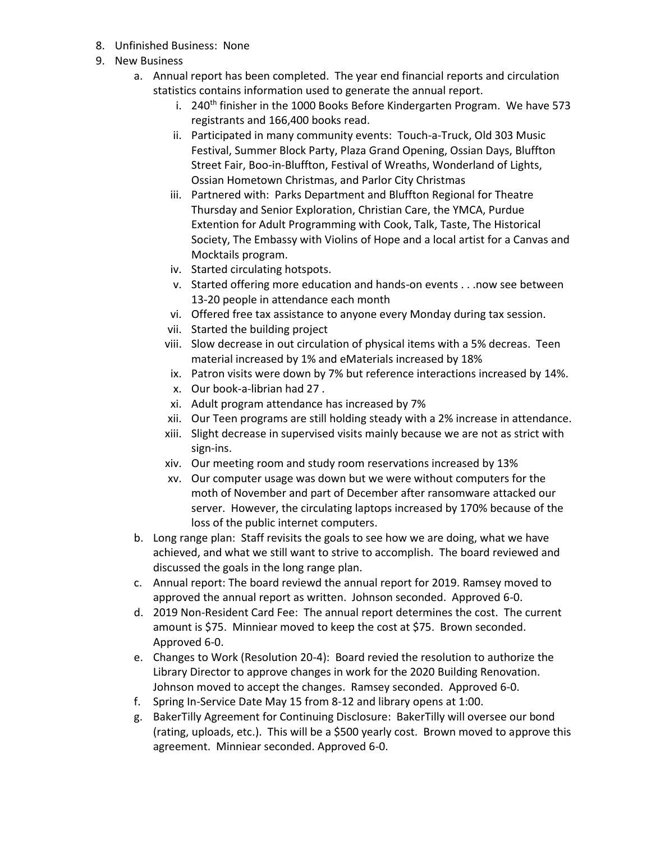- 8. Unfinished Business: None
- 9. New Business
	- a. Annual report has been completed. The year end financial reports and circulation statistics contains information used to generate the annual report.
		- i. 240<sup>th</sup> finisher in the 1000 Books Before Kindergarten Program. We have 573 registrants and 166,400 books read.
		- ii. Participated in many community events: Touch-a-Truck, Old 303 Music Festival, Summer Block Party, Plaza Grand Opening, Ossian Days, Bluffton Street Fair, Boo-in-Bluffton, Festival of Wreaths, Wonderland of Lights, Ossian Hometown Christmas, and Parlor City Christmas
		- iii. Partnered with: Parks Department and Bluffton Regional for Theatre Thursday and Senior Exploration, Christian Care, the YMCA, Purdue Extention for Adult Programming with Cook, Talk, Taste, The Historical Society, The Embassy with Violins of Hope and a local artist for a Canvas and Mocktails program.
		- iv. Started circulating hotspots.
		- v. Started offering more education and hands-on events . . .now see between 13-20 people in attendance each month
		- vi. Offered free tax assistance to anyone every Monday during tax session.
		- vii. Started the building project
		- viii. Slow decrease in out circulation of physical items with a 5% decreas. Teen material increased by 1% and eMaterials increased by 18%
		- ix. Patron visits were down by 7% but reference interactions increased by 14%.
		- x. Our book-a-librian had 27 .
		- xi. Adult program attendance has increased by 7%
		- xii. Our Teen programs are still holding steady with a 2% increase in attendance.
		- xiii. Slight decrease in supervised visits mainly because we are not as strict with sign-ins.
		- xiv. Our meeting room and study room reservations increased by 13%
		- xv. Our computer usage was down but we were without computers for the moth of November and part of December after ransomware attacked our server. However, the circulating laptops increased by 170% because of the loss of the public internet computers.
	- b. Long range plan: Staff revisits the goals to see how we are doing, what we have achieved, and what we still want to strive to accomplish. The board reviewed and discussed the goals in the long range plan.
	- c. Annual report: The board reviewd the annual report for 2019. Ramsey moved to approved the annual report as written. Johnson seconded. Approved 6-0.
	- d. 2019 Non-Resident Card Fee: The annual report determines the cost. The current amount is \$75. Minniear moved to keep the cost at \$75. Brown seconded. Approved 6-0.
	- e. Changes to Work (Resolution 20-4): Board revied the resolution to authorize the Library Director to approve changes in work for the 2020 Building Renovation. Johnson moved to accept the changes. Ramsey seconded. Approved 6-0.
	- f. Spring In-Service Date May 15 from 8-12 and library opens at 1:00.
	- g. BakerTilly Agreement for Continuing Disclosure: BakerTilly will oversee our bond (rating, uploads, etc.). This will be a \$500 yearly cost. Brown moved to approve this agreement. Minniear seconded. Approved 6-0.